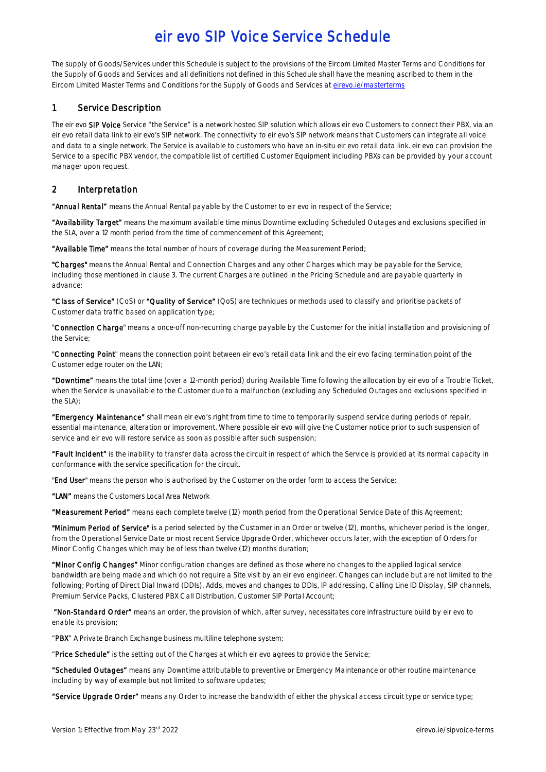The supply of Goods/Services under this Schedule is subject to the provisions of the Eircom Limited Master Terms and Conditions for the Supply of Goods and Services and all definitions not defined in this Schedule shall have the meaning ascribed to them in the Eircom Limited Master Terms and Conditions for the Supply of Goods and Services a[t eirevo.ie/masterterms](http://www.eirevo.ie/masterterms)

## 1 Service Description

The eir evo SIP Voice Service "the Service" is a network hosted SIP solution which allows eir evo Customers to connect their PBX, via an eir evo retail data link to eir evo's SIP network. The connectivity to eir evo's SIP network means that Customers can integrate all voice and data to a single network. The Service is available to customers who have an in-situ eir evo retail data link. eir evo can provision the Service to a specific PBX vendor, the compatible list of certified Customer Equipment including PBXs can be provided by your account manager upon request.

## 2 Interpretation

"Annual Rental" means the Annual Rental payable by the Customer to eir evo in respect of the Service;

"Availability Target" means the maximum available time minus Downtime excluding Scheduled Outages and exclusions specified in the SLA, over a 12 month period from the time of commencement of this Agreement;

"Available Time" means the total number of hours of coverage during the Measurement Period;

"Charges" means the Annual Rental and Connection Charges and any other Charges which may be payable for the Service, including those mentioned in clause 3. The current Charges are outlined in the Pricing Schedule and are payable quarterly in advance;

"Class of Service" (CoS) or "Quality of Service" (QoS) are techniques or methods used to classify and prioritise packets of Customer data traffic based on application type;

"Connection Charge" means a once-off non-recurring charge payable by the Customer for the initial installation and provisioning of the Service;

"Connecting Point" means the connection point between eir evo's retail data link and the eir evo facing termination point of the Customer edge router on the LAN;

"Downtime" means the total time (over a 12-month period) during Available Time following the allocation by eir evo of a Trouble Ticket, when the Service is unavailable to the Customer due to a malfunction (excluding any Scheduled Outages and exclusions specified in the SLA);

"Emergency Maintenance" shall mean eir evo's right from time to time to temporarily suspend service during periods of repair, essential maintenance, alteration or improvement. Where possible eir evo will give the Customer notice prior to such suspension of service and eir evo will restore service as soon as possible after such suspension;

"Fault Incident" is the inability to transfer data across the circuit in respect of which the Service is provided at its normal capacity in conformance with the service specification for the circuit.

"End User" means the person who is authorised by the Customer on the order form to access the Service;

"LAN" means the Customers Local Area Network

"Measurement Period" means each complete twelve (12) month period from the Operational Service Date of this Agreement;

"Minimum Period of Service" is a period selected by the Customer in an Order or twelve (12), months, whichever period is the longer, from the Operational Service Date or most recent Service Upgrade Order, whichever occurs later, with the exception of Orders for Minor Config Changes which may be of less than twelve (12) months duration;

"Minor Config Changes" Minor configuration changes are defined as those where no changes to the applied logical service bandwidth are being made and which do not require a Site visit by an eir evo engineer. Changes can include but are not limited to the following; Porting of Direct Dial Inward (DDIs), Adds, moves and changes to DDIs, IP addressing, Calling Line ID Display, SIP channels, Premium Service Packs, Clustered PBX Call Distribution, Customer SIP Portal Account;

"Non-Standard Order" means an order, the provision of which, after survey, necessitates core infrastructure build by eir evo to enable its provision;

"PBX" A Private Branch Exchange business multiline telephone system;

"Price Schedule" is the setting out of the Charges at which eir evo agrees to provide the Service;

"Scheduled Outages" means any Downtime attributable to preventive or Emergency Maintenance or other routine maintenance including by way of example but not limited to software updates;

"Service Upgrade Order" means any Order to increase the bandwidth of either the physical access circuit type or service type;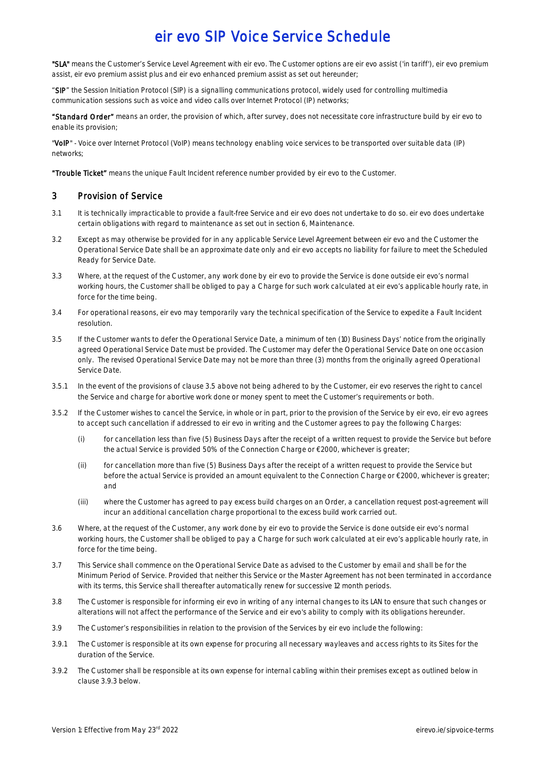"SLA" means the Customer's Service Level Agreement with eir evo. The Customer options are eir evo assist ('in tariff'), eir evo premium assist, eir evo premium assist plus and eir evo enhanced premium assist as set out hereunder;

"SIP" the Session Initiation Protocol (SIP) is a signalling communications protocol, widely used for controlling multimedia communication sessions such as voice and video calls over Internet Protocol (IP) networks;

"Standard Order" means an order, the provision of which, after survey, does not necessitate core infrastructure build by eir evo to enable its provision;

"VoIP" - Voice over Internet Protocol (VoIP) means technology enabling voice services to be transported over suitable data (IP) networks;

"Trouble Ticket" means the unique Fault Incident reference number provided by eir evo to the Customer.

## 3 Provision of Service

- 3.1 It is technically impracticable to provide a fault-free Service and eir evo does not undertake to do so. eir evo does undertake certain obligations with regard to maintenance as set out in section 6, Maintenance.
- 3.2 Except as may otherwise be provided for in any applicable Service Level Agreement between eir evo and the Customer the Operational Service Date shall be an approximate date only and eir evo accepts no liability for failure to meet the Scheduled Ready for Service Date.
- 3.3 Where, at the request of the Customer, any work done by eir evo to provide the Service is done outside eir evo's normal working hours, the Customer shall be obliged to pay a Charge for such work calculated at eir evo's applicable hourly rate, in force for the time being.
- 3.4 For operational reasons, eir evo may temporarily vary the technical specification of the Service to expedite a Fault Incident resolution.
- 3.5 If the Customer wants to defer the Operational Service Date, a minimum of ten (10) Business Days' notice from the originally agreed Operational Service Date must be provided. The Customer may defer the Operational Service Date on one occasion only. The revised Operational Service Date may not be more than three (3) months from the originally agreed Operational Service Date.
- 3.5.1 In the event of the provisions of clause 3.5 above not being adhered to by the Customer, eir evo reserves the right to cancel the Service and charge for abortive work done or money spent to meet the Customer's requirements or both.
- 3.5.2 If the Customer wishes to cancel the Service, in whole or in part, prior to the provision of the Service by eir evo, eir evo agrees to accept such cancellation if addressed to eir evo in writing and the Customer agrees to pay the following Charges:
	- (i) for cancellation less than five (5) Business Days after the receipt of a written request to provide the Service but before the actual Service is provided 50% of the Connection Charge or €2000, whichever is greater;
	- (ii) for cancellation more than five (5) Business Days after the receipt of a written request to provide the Service but before the actual Service is provided an amount equivalent to the Connection Charge or €2000, whichever is greater; and
	- (iii) where the Customer has agreed to pay excess build charges on an Order, a cancellation request post-agreement will incur an additional cancellation charge proportional to the excess build work carried out.
- 3.6 Where, at the request of the Customer, any work done by eir evo to provide the Service is done outside eir evo's normal working hours, the Customer shall be obliged to pay a Charge for such work calculated at eir evo's applicable hourly rate, in force for the time being.
- 3.7 This Service shall commence on the Operational Service Date as advised to the Customer by email and shall be for the Minimum Period of Service. Provided that neither this Service or the Master Agreement has not been terminated in accordance with its terms, this Service shall thereafter automatically renew for successive 12 month periods.
- 3.8 The Customer is responsible for informing eir evo in writing of any internal changes to its LAN to ensure that such changes or alterations will not affect the performance of the Service and eir evo's ability to comply with its obligations hereunder.
- 3.9 The Customer's responsibilities in relation to the provision of the Services by eir evo include the following:
- 3.9.1 The Customer is responsible at its own expense for procuring all necessary wayleaves and access rights to its Sites for the duration of the Service.
- 3.9.2 The Customer shall be responsible at its own expense for internal cabling within their premises except as outlined below in clause 3.9.3 below.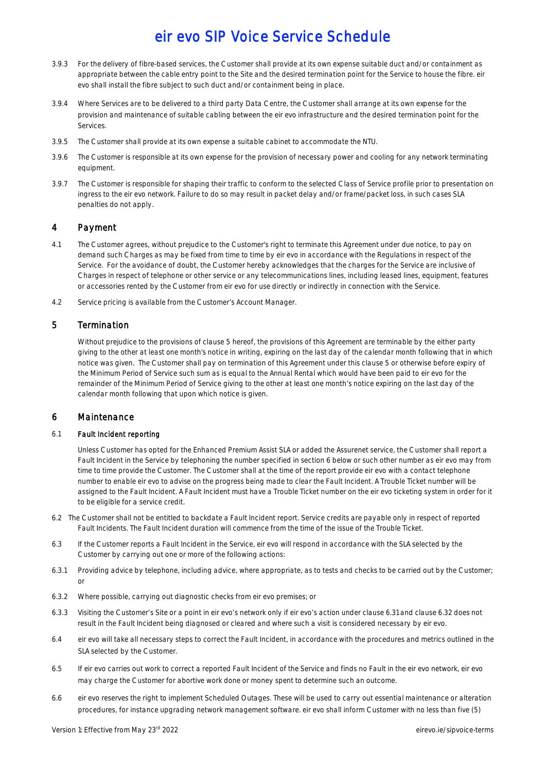- 3.9.3 For the delivery of fibre-based services, the Customer shall provide at its own expense suitable duct and/or containment as appropriate between the cable entry point to the Site and the desired termination point for the Service to house the fibre. eir evo shall install the fibre subject to such duct and/or containment being in place.
- 3.9.4 Where Services are to be delivered to a third party Data Centre, the Customer shall arrange at its own expense for the provision and maintenance of suitable cabling between the eir evo infrastructure and the desired termination point for the Services.
- 3.9.5 The Customer shall provide at its own expense a suitable cabinet to accommodate the NTU.
- 3.9.6 The Customer is responsible at its own expense for the provision of necessary power and cooling for any network terminating equipment.
- 3.9.7 The Customer is responsible for shaping their traffic to conform to the selected Class of Service profile prior to presentation on ingress to the eir evo network. Failure to do so may result in packet delay and/or frame/packet loss, in such cases SLA penalties do not apply.

## 4 Payment

- 4.1 The Customer agrees, without prejudice to the Customer's right to terminate this Agreement under due notice, to pay on demand such Charges as may be fixed from time to time by eir evo in accordance with the Regulations in respect of the Service. For the avoidance of doubt, the Customer hereby acknowledges that the charges for the Service are inclusive of Charges in respect of telephone or other service or any telecommunications lines, including leased lines, equipment, features or accessories rented by the Customer from eir evo for use directly or indirectly in connection with the Service.
- 4.2 Service pricing is available from the Customer's Account Manager.

### 5 Termination

Without prejudice to the provisions of clause 5 hereof, the provisions of this Agreement are terminable by the either party giving to the other at least one month's notice in writing, expiring on the last day of the calendar month following that in which notice was given. The Customer shall pay on termination of this Agreement under this clause 5 or otherwise before expiry of the Minimum Period of Service such sum as is equal to the Annual Rental which would have been paid to eir evo for the remainder of the Minimum Period of Service giving to the other at least one month's notice expiring on the last day of the calendar month following that upon which notice is given.

### 6 Maintenance

#### 6.1 Fault Incident reporting

Unless Customer has opted for the Enhanced Premium Assist SLA or added the Assurenet service, the Customer shall report a Fault Incident in the Service by telephoning the number specified in section 6 below or such other number as eir evo may from time to time provide the Customer. The Customer shall at the time of the report provide eir evo with a contact telephone number to enable eir evo to advise on the progress being made to clear the Fault Incident. A Trouble Ticket number will be assigned to the Fault Incident. A Fault Incident must have a Trouble Ticket number on the eir evo ticketing system in order for it to be eligible for a service credit.

- 6.2 The Customer shall not be entitled to backdate a Fault Incident report. Service credits are payable only in respect of reported Fault Incidents. The Fault Incident duration will commence from the time of the issue of the Trouble Ticket.
- 6.3 If the Customer reports a Fault Incident in the Service, eir evo will respond in accordance with the SLA selected by the Customer by carrying out one or more of the following actions:
- 6.3.1 Providing advice by telephone, including advice, where appropriate, as to tests and checks to be carried out by the Customer; or
- 6.3.2 Where possible, carrying out diagnostic checks from eir evo premises; or
- 6.3.3 Visiting the Customer's Site or a point in eir evo's network only if eir evo's action under clause 6.31 and clause 6.32 does not result in the Fault Incident being diagnosed or cleared and where such a visit is considered necessary by eir evo.
- 6.4 eir evo will take all necessary steps to correct the Fault Incident, in accordance with the procedures and metrics outlined in the SLA selected by the Customer.
- 6.5 If eir evo carries out work to correct a reported Fault Incident of the Service and finds no Fault in the eir evo network, eir evo may charge the Customer for abortive work done or money spent to determine such an outcome.
- 6.6 eir evo reserves the right to implement Scheduled Outages. These will be used to carry out essential maintenance or alteration procedures, for instance upgrading network management software. eir evo shall inform Customer with no less than five (5)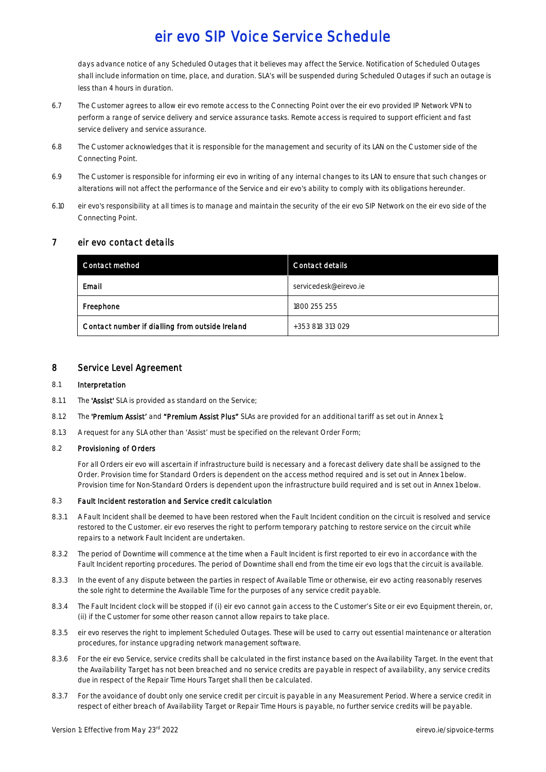days advance notice of any Scheduled Outages that it believes may affect the Service. Notification of Scheduled Outages shall include information on time, place, and duration. SLA's will be suspended during Scheduled Outages if such an outage is less than 4 hours in duration.

- 6.7 The Customer agrees to allow eir evo remote access to the Connecting Point over the eir evo provided IP Network VPN to perform a range of service delivery and service assurance tasks. Remote access is required to support efficient and fast service delivery and service assurance.
- 6.8 The Customer acknowledges that it is responsible for the management and security of its LAN on the Customer side of the Connecting Point.
- 6.9 The Customer is responsible for informing eir evo in writing of any internal changes to its LAN to ensure that such changes or alterations will not affect the performance of the Service and eir evo's ability to comply with its obligations hereunder.
- 6.10 eir evo's responsibility at all times is to manage and maintain the security of the eir evo SIP Network on the eir evo side of the Connecting Point.

### 7 eir evo contact details

| <b>Contact method</b>                           | <b>Contact details</b> |
|-------------------------------------------------|------------------------|
| Email                                           | servicedesk@eirevo.je  |
| Freephone                                       | 1800 255 255           |
| Contact number if dialling from outside Ireland | +353 818 313 029       |

### 8 Service Level Agreement

#### 8.1 Interpretation

- 8.1.1 The 'Assist' SLA is provided as standard on the Service;
- 8.1.2 The 'Premium Assist' and "Premium Assist Plus" SLAs are provided for an additional tariff as set out in Annex 1;
- 8.1.3 A request for any SLA other than 'Assist' must be specified on the relevant Order Form;

### 8.2 Provisioning of Orders

For all Orders eir evo will ascertain if infrastructure build is necessary and a forecast delivery date shall be assigned to the Order. Provision time for Standard Orders is dependent on the access method required and is set out in Annex 1 below. Provision time for Non-Standard Orders is dependent upon the infrastructure build required and is set out in Annex 1 below.

#### 8.3 Fault Incident restoration and Service credit calculation

- 8.3.1 A Fault Incident shall be deemed to have been restored when the Fault Incident condition on the circuit is resolved and service restored to the Customer. eir evo reserves the right to perform temporary patching to restore service on the circuit while repairs to a network Fault Incident are undertaken.
- 8.3.2 The period of Downtime will commence at the time when a Fault Incident is first reported to eir evo in accordance with the Fault Incident reporting procedures. The period of Downtime shall end from the time eir evo logs that the circuit is available.
- 8.3.3 In the event of any dispute between the parties in respect of Available Time or otherwise, eir evo acting reasonably reserves the sole right to determine the Available Time for the purposes of any service credit payable.
- 8.3.4 The Fault Incident clock will be stopped if (i) eir evo cannot gain access to the Customer's Site or eir evo Equipment therein, or, (ii) if the Customer for some other reason cannot allow repairs to take place.
- 8.3.5 eir evo reserves the right to implement Scheduled Outages. These will be used to carry out essential maintenance or alteration procedures, for instance upgrading network management software.
- 8.3.6 For the eir evo Service, service credits shall be calculated in the first instance based on the Availability Target. In the event that the Availability Target has not been breached and no service credits are payable in respect of availability, any service credits due in respect of the Repair Time Hours Target shall then be calculated.
- 8.3.7 For the avoidance of doubt only one service credit per circuit is payable in any Measurement Period. Where a service credit in respect of either breach of Availability Target or Repair Time Hours is payable, no further service credits will be payable.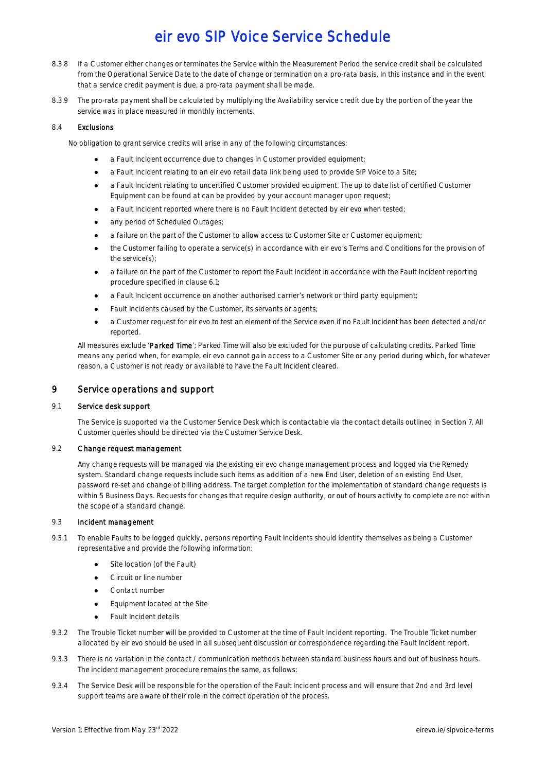- 8.3.8 If a Customer either changes or terminates the Service within the Measurement Period the service credit shall be calculated from the Operational Service Date to the date of change or termination on a pro-rata basis. In this instance and in the event that a service credit payment is due, a pro-rata payment shall be made.
- 8.3.9 The pro-rata payment shall be calculated by multiplying the Availability service credit due by the portion of the year the service was in place measured in monthly increments.

### 8.4 Exclusions

No obligation to grant service credits will arise in any of the following circumstances:

- a Fault Incident occurrence due to changes in Customer provided equipment;
- a Fault Incident relating to an eir evo retail data link being used to provide SIP Voice to a Site;
- a Fault Incident relating to uncertified Customer provided equipment. The up to date list of certified Customer Equipment can be found at can be provided by your account manager upon request;
- a Fault Incident reported where there is no Fault Incident detected by eir evo when tested;
- any period of Scheduled Outages;
- a failure on the part of the Customer to allow access to Customer Site or Customer equipment;
- the Customer failing to operate a service(s) in accordance with eir evo's Terms and Conditions for the provision of the service(s);
- a failure on the part of the Customer to report the Fault Incident in accordance with the Fault Incident reporting procedure specified in clause 6.1;
- a Fault Incident occurrence on another authorised carrier's network or third party equipment;
- Fault Incidents caused by the Customer, its servants or agents;
- a Customer request for eir evo to test an element of the Service even if no Fault Incident has been detected and/or reported.

All measures exclude 'Parked Time'; Parked Time will also be excluded for the purpose of calculating credits. Parked Time means any period when, for example, eir evo cannot gain access to a Customer Site or any period during which, for whatever reason, a Customer is not ready or available to have the Fault Incident cleared.

## 9 Service operations and support

### 9.1 Service desk support

The Service is supported via the Customer Service Desk which is contactable via the contact details outlined in Section 7. All Customer queries should be directed via the Customer Service Desk.

### 9.2 Change request management

Any change requests will be managed via the existing eir evo change management process and logged via the Remedy system. Standard change requests include such items as addition of a new End User, deletion of an existing End User, password re-set and change of billing address. The target completion for the implementation of standard change requests is within 5 Business Days. Requests for changes that require design authority, or out of hours activity to complete are not within the scope of a standard change.

### 9.3 Incident management

- 9.3.1 To enable Faults to be logged quickly, persons reporting Fault Incidents should identify themselves as being a Customer representative and provide the following information:
	- Site location (of the Fault)
	- Circuit or line number
	- Contact number
	- Equipment located at the Site
	- **Fault Incident details**
- 9.3.2 The Trouble Ticket number will be provided to Customer at the time of Fault Incident reporting. The Trouble Ticket number allocated by eir evo should be used in all subsequent discussion or correspondence regarding the Fault Incident report.
- 9.3.3 There is no variation in the contact / communication methods between standard business hours and out of business hours. The incident management procedure remains the same, as follows:
- 9.3.4 The Service Desk will be responsible for the operation of the Fault Incident process and will ensure that 2nd and 3rd level support teams are aware of their role in the correct operation of the process.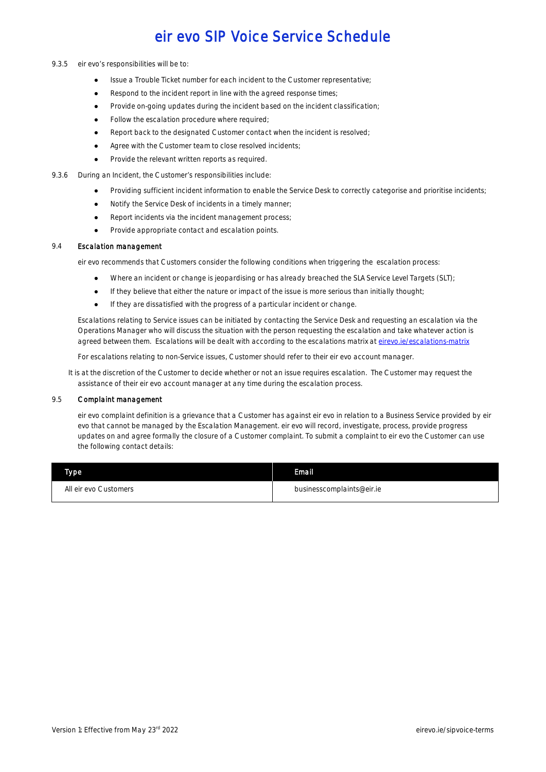- 9.3.5 eir evo's responsibilities will be to:
	- Issue a Trouble Ticket number for each incident to the Customer representative;
	- Respond to the incident report in line with the agreed response times:
	- Provide on-going updates during the incident based on the incident classification;
	- Follow the escalation procedure where required;
	- Report back to the designated Customer contact when the incident is resolved;
	- Agree with the Customer team to close resolved incidents;
	- Provide the relevant written reports as required.
- 9.3.6 During an Incident, the Customer's responsibilities include:
	- Providing sufficient incident information to enable the Service Desk to correctly categorise and prioritise incidents;
	- Notify the Service Desk of incidents in a timely manner;
	- Report incidents via the incident management process;
	- Provide appropriate contact and escalation points.

#### 9.4 Escalation management

eir evo recommends that Customers consider the following conditions when triggering the escalation process:

- Where an incident or change is jeopardising or has already breached the SLA Service Level Targets (SLT);
- If they believe that either the nature or impact of the issue is more serious than initially thought;
- If they are dissatisfied with the progress of a particular incident or change.

Escalations relating to Service issues can be initiated by contacting the Service Desk and requesting an escalation via the Operations Manager who will discuss the situation with the person requesting the escalation and take whatever action is agreed between them. Escalations will be dealt with according to the escalations matrix at [eirevo.ie/escalations-matrix](http://www.eirevo.ie/escalations-matrix/)

For escalations relating to non-Service issues, Customer should refer to their eir evo account manager.

It is at the discretion of the Customer to decide whether or not an issue requires escalation. The Customer may request the assistance of their eir evo account manager at any time during the escalation process.

#### 9.5 Complaint management

eir evo complaint definition is a grievance that a Customer has against eir evo in relation to a Business Service provided by eir evo that cannot be managed by the Escalation Management. eir evo will record, investigate, process, provide progress updates on and agree formally the closure of a Customer complaint. To submit a complaint to eir evo the Customer can use the following contact details:

| Type.                 | Email.                    |
|-----------------------|---------------------------|
| All eir evo Customers | businesscomplaints@eir.ie |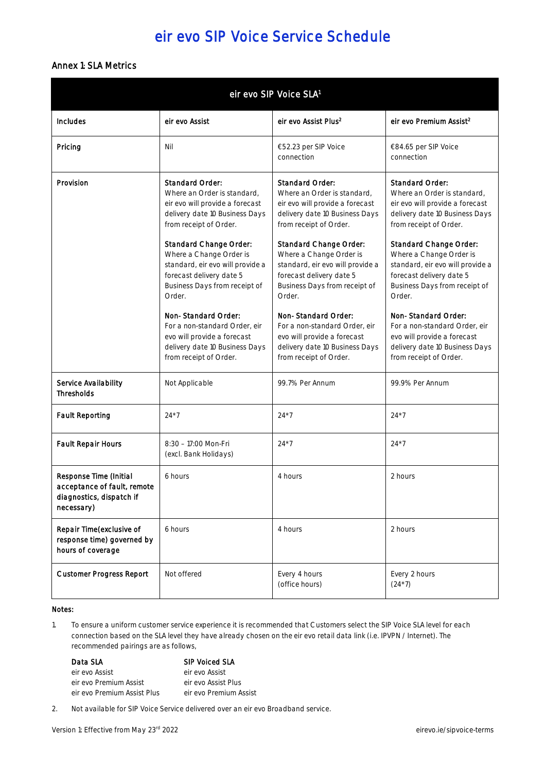## Annex 1: SLA Metrics

| eir evo SIP Voice SLA <sup>1</sup>                                                                     |                                                                                                                                                                                                                                                                                                                                                    |                                                                                                                                                                                                                                                                                                                                                    |                                                                                                                                                                                                                                                                                                                                                    |  |
|--------------------------------------------------------------------------------------------------------|----------------------------------------------------------------------------------------------------------------------------------------------------------------------------------------------------------------------------------------------------------------------------------------------------------------------------------------------------|----------------------------------------------------------------------------------------------------------------------------------------------------------------------------------------------------------------------------------------------------------------------------------------------------------------------------------------------------|----------------------------------------------------------------------------------------------------------------------------------------------------------------------------------------------------------------------------------------------------------------------------------------------------------------------------------------------------|--|
| <b>Includes</b>                                                                                        | eir evo Assist                                                                                                                                                                                                                                                                                                                                     | eir evo Assist Plus <sup>2</sup>                                                                                                                                                                                                                                                                                                                   | eir evo Premium Assist <sup>2</sup>                                                                                                                                                                                                                                                                                                                |  |
| Pricing                                                                                                | Nil                                                                                                                                                                                                                                                                                                                                                | €52.23 per SIP Voice<br>connection                                                                                                                                                                                                                                                                                                                 | €84.65 per SIP Voice<br>connection                                                                                                                                                                                                                                                                                                                 |  |
| Provision                                                                                              | <b>Standard Order:</b><br>Where an Order is standard.<br>eir evo will provide a forecast<br>delivery date 10 Business Days<br>from receipt of Order.<br><b>Standard Change Order:</b><br>Where a Change Order is<br>standard, eir evo will provide a<br>forecast delivery date 5<br>Business Days from receipt of<br>Order.<br>Non-Standard Order: | <b>Standard Order:</b><br>Where an Order is standard,<br>eir evo will provide a forecast<br>delivery date 10 Business Days<br>from receipt of Order.<br><b>Standard Change Order:</b><br>Where a Change Order is<br>standard, eir evo will provide a<br>forecast delivery date 5<br>Business Days from receipt of<br>Order.<br>Non-Standard Order: | <b>Standard Order:</b><br>Where an Order is standard,<br>eir evo will provide a forecast<br>delivery date 10 Business Days<br>from receipt of Order.<br><b>Standard Change Order:</b><br>Where a Change Order is<br>standard, eir evo will provide a<br>forecast delivery date 5<br>Business Days from receipt of<br>Order.<br>Non-Standard Order: |  |
|                                                                                                        | For a non-standard Order, eir<br>evo will provide a forecast<br>delivery date 10 Business Days<br>from receipt of Order.                                                                                                                                                                                                                           | For a non-standard Order, eir<br>evo will provide a forecast<br>delivery date 10 Business Days<br>from receipt of Order.                                                                                                                                                                                                                           | For a non-standard Order, eir<br>evo will provide a forecast<br>delivery date 10 Business Days<br>from receipt of Order.                                                                                                                                                                                                                           |  |
| <b>Service Availability</b><br><b>Thresholds</b>                                                       | Not Applicable                                                                                                                                                                                                                                                                                                                                     | 99.7% Per Annum                                                                                                                                                                                                                                                                                                                                    | 99.9% Per Annum                                                                                                                                                                                                                                                                                                                                    |  |
| <b>Fault Reporting</b>                                                                                 | $24*7$                                                                                                                                                                                                                                                                                                                                             | $24*7$                                                                                                                                                                                                                                                                                                                                             | $24*7$                                                                                                                                                                                                                                                                                                                                             |  |
| <b>Fault Repair Hours</b>                                                                              | 8:30 - 17:00 Mon-Fri<br>(excl. Bank Holidays)                                                                                                                                                                                                                                                                                                      | $24*7$                                                                                                                                                                                                                                                                                                                                             | $24*7$                                                                                                                                                                                                                                                                                                                                             |  |
| <b>Response Time (Initial</b><br>acceptance of fault, remote<br>diagnostics, dispatch if<br>necessary) | 6 hours                                                                                                                                                                                                                                                                                                                                            | 4 hours                                                                                                                                                                                                                                                                                                                                            | 2 hours                                                                                                                                                                                                                                                                                                                                            |  |
| Repair Time(exclusive of<br>response time) governed by<br>hours of coverage                            | 6 hours                                                                                                                                                                                                                                                                                                                                            | 4 hours                                                                                                                                                                                                                                                                                                                                            | 2 hours                                                                                                                                                                                                                                                                                                                                            |  |
| <b>Customer Progress Report</b>                                                                        | Not offered                                                                                                                                                                                                                                                                                                                                        | Every 4 hours<br>(office hours)                                                                                                                                                                                                                                                                                                                    | Every 2 hours<br>$(24*7)$                                                                                                                                                                                                                                                                                                                          |  |

### Notes:

1. To ensure a uniform customer service experience it is recommended that Customers select the SIP Voice SLA level for each connection based on the SLA level they have already chosen on the eir evo retail data link (i.e. IPVPN / Internet). The recommended pairings are as follows,

### Data SLA SIP Voiced SLA eir evo Assist eir evo Assist eir evo Premium Assist eir evo Assist Plus eir evo Premium Assist Plus eir evo Premium Assist

2. Not available for SIP Voice Service delivered over an eir evo Broadband service.